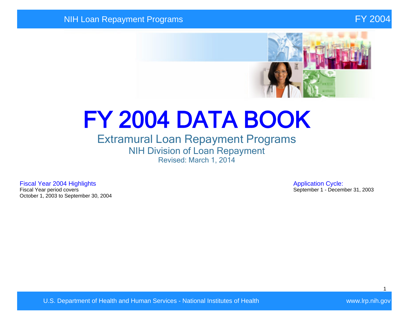

# FY 2004 DATA BOOK

## Extramural Loan Repayment Programs NIH Division of Loan Repayment Revised: March 1, 2014

Fiscal Year 2004 Highlights **Application Cycle:**<br>Fiscal Year period covers **Application Cycle:**<br>Fiscal Year period covers October 1, 2003 to September 30, 2004

September 1 - December 31, 2003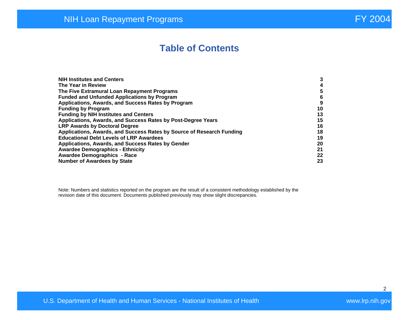## **Table of Contents**

| <b>NIH Institutes and Centers</b>                                     | 3  |
|-----------------------------------------------------------------------|----|
| The Year in Review                                                    | 4  |
| The Five Extramural Loan Repayment Programs                           | 5  |
| <b>Funded and Unfunded Applications by Program</b>                    | 6  |
| Applications, Awards, and Success Rates by Program                    | 9  |
| <b>Funding by Program</b>                                             | 10 |
| <b>Funding by NIH Institutes and Centers</b>                          | 13 |
| Applications, Awards, and Success Rates by Post-Degree Years          | 15 |
| <b>LRP Awards by Doctoral Degree</b>                                  | 16 |
| Applications, Awards, and Success Rates by Source of Research Funding | 18 |
| <b>Educational Debt Levels of LRP Awardees</b>                        | 19 |
| Applications, Awards, and Success Rates by Gender                     | 20 |
| <b>Awardee Demographics - Ethnicity</b>                               | 21 |
| <b>Awardee Demographics - Race</b>                                    | 22 |
| <b>Number of Awardees by State</b>                                    | 23 |

Note: Numbers and statistics reported on the program are the result of a consistent methodology established by the revision date of this document. Documents published previously may show slight discrepancies.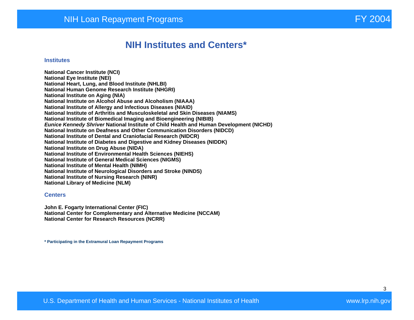## **NIH Institutes and Centers\***

#### **Institutes**

**National Cancer Institute (NCI) National Eye Institute (NEI) National Heart, Lung, and Blood Institute (NHLBI) National Human Genome Research Institute (NHGRI) National Institute on Aging (NIA) National Institute on Alcohol Abuse and Alcoholism (NIAAA) National Institute of Allergy and Infectious Diseases (NIAID) National Institute of Arthritis and Musculoskeletal and Skin Diseases (NIAMS) National Institute of Biomedical Imaging and Bioengineering (NIBIB) Eunice Kennedy Shriver National Institute of Child Health and Human Development (NICHD) National Institute on Deafness and Other Communication Disorders (NIDCD) National Institute of Dental and Craniofacial Research (NIDCR) National Institute of Diabetes and Digestive and Kidney Diseases (NIDDK) National Institute on Drug Abuse (NIDA) National Institute of Environmental Health Sciences (NIEHS) National Institute of General Medical Sciences (NIGMS) National Institute of Mental Health (NIMH) National Institute of Neurological Disorders and Stroke (NINDS) National Institute of Nursing Research (NINR) National Library of Medicine (NLM)** 

#### **Centers**

**John E. Fogarty International Center (FIC) National Center for Complementary and Alternative Medicine (NCCAM) National Center for Research Resources (NCRR)** 

**\* Participating in the Extramural Loan Repayment Programs**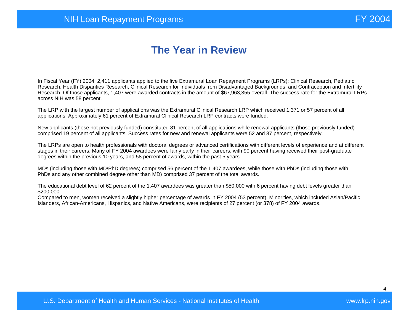# **The Year in Review**

In Fiscal Year (FY) 2004, 2,411 applicants applied to the five Extramural Loan Repayment Programs (LRPs): Clinical Research, Pediatric Research, Health Disparities Research, Clinical Research for Individuals from Disadvantaged Backgrounds, and Contraception and Infertility Research. Of those applicants, 1,407 were awarded contracts in the amount of \$67,963,355 overall. The success rate for the Extramural LRPs across NIH was 58 percent.

The LRP with the largest number of applications was the Extramural Clinical Research LRP which received 1,371 or 57 percent of all applications. Approximately 61 percent of Extramural Clinical Research LRP contracts were funded.

New applicants (those not previously funded) constituted 81 percent of all applications while renewal applicants (those previously funded) comprised 19 percent of all applicants. Success rates for new and renewal applicants were 52 and 87 percent, respectively.

The LRPs are open to health professionals with doctoral degrees or advanced certifications with different levels of experience and at different stages in their careers. Many of FY 2004 awardees were fairly early in their careers, with 90 percent having received their post-graduate degrees within the previous 10 years, and 58 percent of awards, within the past 5 years.

MDs (including those with MD/PhD degrees) comprised 56 percent of the 1,407 awardees, while those with PhDs (including those with PhDs and any other combined degree other than MD) comprised 37 percent of the total awards.

The educational debt level of 62 percent of the 1,407 awardees was greater than \$50,000 with 6 percent having debt levels greater than \$200,000.

Compared to men, women received a slightly higher percentage of awards in FY 2004 (53 percent). Minorities, which included Asian/Pacific Islanders, African-Americans, Hispanics, and Native Americans, were recipients of 27 percent (or 378) of FY 2004 awards.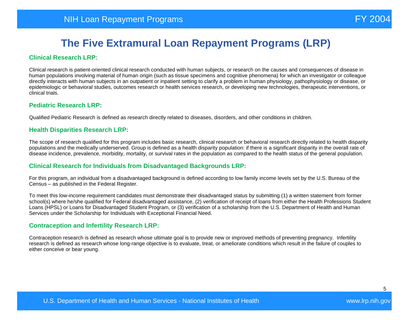#### **Clinical Research LRP:**

Clinical research is patient-oriented clinical research conducted with human subjects, or research on the causes and consequences of disease in human populations involving material of human origin (such as tissue specimens and cognitive phenomena) for which an investigator or colleague directly interacts with human subjects in an outpatient or inpatient setting to clarify a problem in human physiology, pathophysiology or disease, or epidemiologic or behavioral studies, outcomes research or health services research, or developing new technologies, therapeutic interventions, or clinical trials.

#### **Pediatric Research LRP:**

Qualified Pediatric Research is defined as research directly related to diseases, disorders, and other conditions in children.

#### **Health Disparities Research LRP:**

The scope of research qualified for this program includes basic research, clinical research or behavioral research directly related to health disparity populations and the medically underserved. Group is defined as a health disparity population: if there is a significant disparity in the overall rate of disease incidence, prevalence, morbidity, mortality, or survival rates in the population as compared to the health status of the general population.

#### **Clinical Research for Individuals from Disadvantaged Backgrounds LRP:**

For this program, an individual from a disadvantaged background is defined according to low family income levels set by the U.S. Bureau of the Census – as published in the Federal Register.

To meet this low-income requirement candidates must demonstrate their disadvantaged status by submitting (1) a written statement from former school(s) where he/she qualified for Federal disadvantaged assistance, (2) verification of receipt of loans from either the Health Professions Student Loans (HPSL) or Loans for Disadvantaged Student Program, or (3) verification of a scholarship from the U.S. Department of Health and Human Services under the Scholarship for Individuals with Exceptional Financial Need.

#### **Contraception and Infertility Research LRP:**

Contraception research is defined as research whose ultimate goal is to provide new or improved methods of preventing pregnancy. Infertility research is defined as research whose long-range objective is to evaluate, treat, or ameliorate conditions which result in the failure of couples to either conceive or bear young.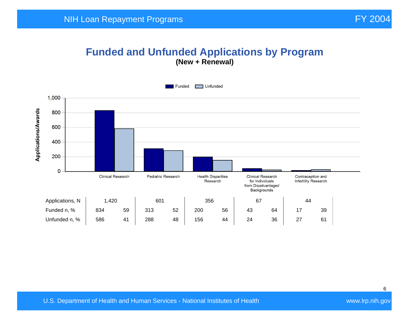#### **Funded and Unfunded Applications by Program (New + Renewal)**

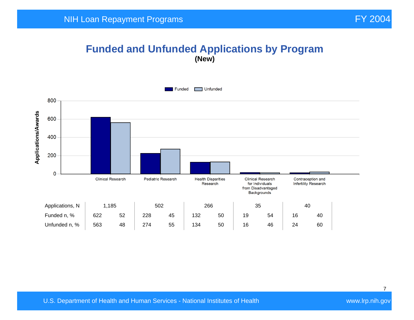## **Funded and Unfunded Applications by Program (New)**

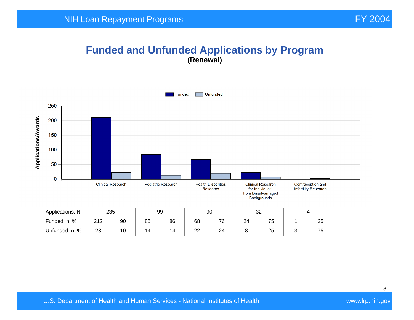#### **Funded and Unfunded Applications by Program (Renewal)**

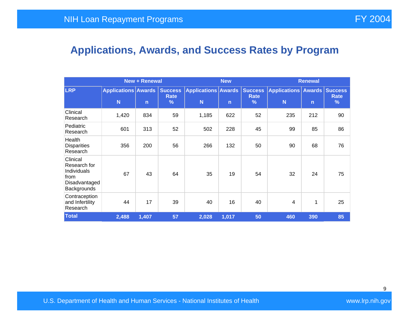# **Applications, Awards, and Success Rates by Program**

|                                                                                 | <b>New + Renewal</b>                       |              |                                                |                                            |              |                                         | <b>Renewal</b>                       |              |                  |  |
|---------------------------------------------------------------------------------|--------------------------------------------|--------------|------------------------------------------------|--------------------------------------------|--------------|-----------------------------------------|--------------------------------------|--------------|------------------|--|
| <b>LRP</b>                                                                      | <b>Applications Awards</b><br>$\mathsf{N}$ | $\mathsf{n}$ | <b>Success</b><br><b>Rate</b><br>$\frac{9}{6}$ | <b>Applications Awards</b><br>$\mathsf{N}$ | $\mathsf{n}$ | <b>Success</b><br>Rate<br>$\frac{9}{6}$ | Applications   Awards   Success<br>N | $\mathsf{n}$ | <b>Rate</b><br>% |  |
| Clinical<br>Research                                                            | 1,420                                      | 834          | 59                                             | 1,185                                      | 622          | 52                                      | 235                                  | 212          | 90               |  |
| Pediatric<br>Research                                                           | 601                                        | 313          | 52                                             | 502                                        | 228          | 45                                      | 99                                   | 85           | 86               |  |
| Health<br><b>Disparities</b><br>Research                                        | 356                                        | 200          | 56                                             | 266                                        | 132          | 50                                      | 90                                   | 68           | 76               |  |
| Clinical<br>Research for<br>Individuals<br>from<br>Disadvantaged<br>Backgrounds | 67                                         | 43           | 64                                             | 35                                         | 19           | 54                                      | 32                                   | 24           | 75               |  |
| Contraception<br>and Infertility<br>Research                                    | 44                                         | 17           | 39                                             | 40                                         | 16           | 40                                      | 4                                    | 1            | 25               |  |
| <b>Total</b>                                                                    | 2,488                                      | 1,407        | 57                                             | 2,028                                      | 1,017        | 50                                      | 460                                  | 390          | 85               |  |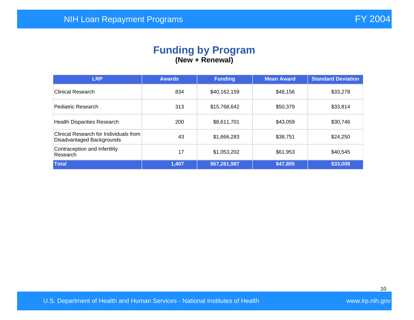#### **Funding by Program (New + Renewal)**

| <b>LRP</b>                                                          | <b>Awards</b> | <b>Funding</b> | <b>Mean Award</b> | <b>Standard Deviation</b> |
|---------------------------------------------------------------------|---------------|----------------|-------------------|---------------------------|
| <b>Clinical Research</b>                                            | 834           | \$40,162,159   | \$48,156          | \$33,278                  |
| Pediatric Research                                                  | 313           | \$15,768,642   | \$50,379          | \$33,814                  |
| <b>Health Disparities Research</b>                                  | 200           | \$8,611,701    | \$43,059          | \$30,746                  |
| Clinical Research for Individuals from<br>Disadvantaged Backgrounds | 43            | \$1,666,283    | \$38,751          | \$24,250                  |
| Contraception and Infertility<br>Research                           | 17            | \$1,053,202    | \$61,953          | \$40,545                  |
| <b>Total</b>                                                        | 1,407         | \$67,261,987   | \$47,805          | \$33,008                  |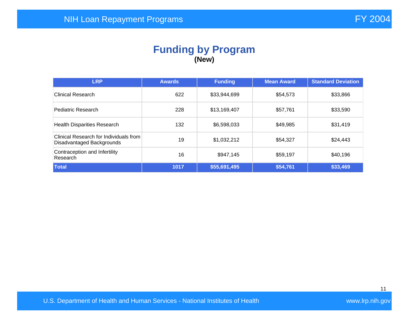#### **Funding by Program (New)**

| <b>LRP</b>                                                          | <b>Awards</b> | <b>Funding</b> | <b>Mean Award</b> | <b>Standard Deviation</b> |
|---------------------------------------------------------------------|---------------|----------------|-------------------|---------------------------|
| <b>Clinical Research</b>                                            | 622           | \$33,944,699   | \$54,573          | \$33,866                  |
| Pediatric Research                                                  | 228           | \$13,169,407   | \$57,761          | \$33,590                  |
| <b>Health Disparities Research</b>                                  | 132           | \$6,598,033    | \$49,985          | \$31,419                  |
| Clinical Research for Individuals from<br>Disadvantaged Backgrounds | 19            | \$1,032,212    | \$54,327          | \$24,443                  |
| Contraception and Infertility<br>Research                           | 16            | \$947,145      | \$59,197          | \$40,196                  |
| Total                                                               | 1017          | \$55,691,495   | \$54,761          | \$33,469                  |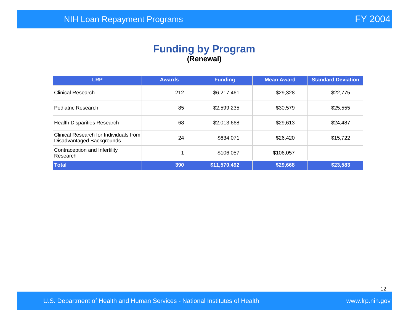### **Funding by Program (Renewal)**

| <b>LRP</b>                                                          | <b>Awards</b> | <b>Funding</b> | <b>Mean Award</b> | <b>Standard Deviation</b> |
|---------------------------------------------------------------------|---------------|----------------|-------------------|---------------------------|
| <b>Clinical Research</b>                                            | 212           | \$6,217,461    | \$29,328          | \$22,775                  |
| Pediatric Research                                                  | 85            | \$2,599,235    | \$30,579          | \$25,555                  |
| <b>Health Disparities Research</b>                                  | 68            | \$2,013,668    | \$29,613          | \$24,487                  |
| Clinical Research for Individuals from<br>Disadvantaged Backgrounds | 24            | \$634,071      | \$26,420          | \$15,722                  |
| Contraception and Infertility<br>Research                           |               | \$106,057      | \$106,057         |                           |
| <b>Total</b>                                                        | 390           | \$11,570,492   | \$29,668          | \$23,583                  |

12

U.S. Department of Health and Human Services - National Institutes of Health Walles and Wave Wave Irp.nih.gov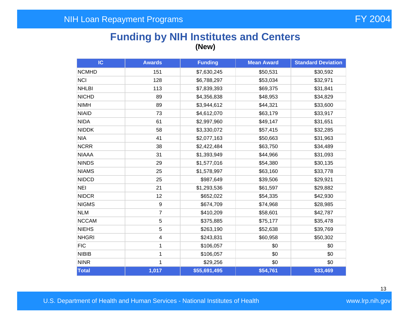## **Funding by NIH Institutes and Centers (New)**

| IC           | <b>Awards</b>  | <b>Funding</b> | <b>Mean Award</b> | <b>Standard Deviation</b> |
|--------------|----------------|----------------|-------------------|---------------------------|
| <b>NCMHD</b> | 151            | \$7,630,245    | \$50,531          | \$30,592                  |
| <b>NCI</b>   | 128            | \$6,788,297    | \$53,034          | \$32,971                  |
| <b>NHLBI</b> | 113            | \$7,839,393    | \$69,375          | \$31,841                  |
| <b>NICHD</b> | 89             | \$4,356,838    | \$48,953          | \$34,829                  |
| <b>NIMH</b>  | 89             | \$3,944,612    | \$44,321          | \$33,600                  |
| <b>NIAID</b> | 73             | \$4,612,070    | \$63,179          | \$33,917                  |
| <b>NIDA</b>  | 61             | \$2,997,960    | \$49,147          | \$31,651                  |
| <b>NIDDK</b> | 58             | \$3,330,072    | \$57,415          | \$32,285                  |
| <b>NIA</b>   | 41             | \$2,077,163    | \$50,663          | \$31,963                  |
| <b>NCRR</b>  | 38             | \$2,422,484    | \$63,750          | \$34,489                  |
| <b>NIAAA</b> | 31             | \$1,393,949    | \$44,966          | \$31,093                  |
| <b>NINDS</b> | 29             | \$1,577,016    | \$54,380          | \$30,135                  |
| <b>NIAMS</b> | 25             | \$1,578,997    | \$63,160          | \$33,778                  |
| <b>NIDCD</b> | 25             | \$987,649      | \$39,506          | \$29,921                  |
| <b>NEI</b>   | 21             | \$1,293,536    | \$61,597          | \$29,882                  |
| <b>NIDCR</b> | 12             | \$652,022      | \$54,335          | \$42,930                  |
| <b>NIGMS</b> | 9              | \$674,709      | \$74,968          | \$28,985                  |
| <b>NLM</b>   | $\overline{7}$ | \$410,209      | \$58,601          | \$42,787                  |
| <b>NCCAM</b> | 5              | \$375,885      | \$75,177          | \$35,478                  |
| <b>NIEHS</b> | 5              | \$263,190      | \$52,638          | \$39,769                  |
| <b>NHGRI</b> | 4              | \$243,831      | \$60,958          | \$50,302                  |
| <b>FIC</b>   | 1              | \$106,057      | \$0               | \$0                       |
| <b>NIBIB</b> | 1              | \$106,057      | \$0               | \$0                       |
| <b>NINR</b>  | 1              | \$29,256       | \$0               | \$0                       |
| Total        | 1,017          | \$55,691,495   | \$54,761          | \$33,469                  |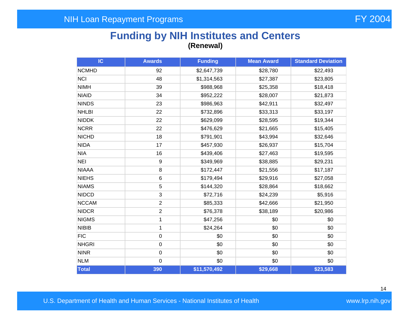## **Funding by NIH Institutes and Centers (Renewal)**

| IC           | <b>Awards</b>    | <b>Funding</b> | <b>Mean Award</b> | <b>Standard Deviation</b> |
|--------------|------------------|----------------|-------------------|---------------------------|
| <b>NCMHD</b> | 92               | \$2,647,739    | \$28,780          | \$22,493                  |
| <b>NCI</b>   | 48               | \$1,314,563    | \$27,387          | \$23,805                  |
| <b>NIMH</b>  | 39               | \$988,968      | \$25,358          | \$18,418                  |
| <b>NIAID</b> | 34               | \$952,222      | \$28,007          | \$21,873                  |
| <b>NINDS</b> | 23               | \$986,963      | \$42,911          | \$32,497                  |
| <b>NHLBI</b> | 22               | \$732,896      | \$33,313          | \$33,197                  |
| <b>NIDDK</b> | 22               | \$629,099      | \$28,595          | \$19,344                  |
| <b>NCRR</b>  | 22               | \$476,629      | \$21,665          | \$15,405                  |
| <b>NICHD</b> | 18               | \$791,901      | \$43,994          | \$32,646                  |
| <b>NIDA</b>  | 17               | \$457,930      | \$26,937          | \$15,704                  |
| <b>NIA</b>   | 16               | \$439,406      | \$27,463          | \$19,595                  |
| <b>NEI</b>   | $\boldsymbol{9}$ | \$349,969      | \$38,885          | \$29,231                  |
| <b>NIAAA</b> | 8                | \$172,447      | \$21,556          | \$17,187                  |
| <b>NIEHS</b> | 6                | \$179,494      | \$29,916          | \$27,058                  |
| <b>NIAMS</b> | 5                | \$144,320      | \$28,864          | \$18,662                  |
| <b>NIDCD</b> | 3                | \$72,716       | \$24,239          | \$5,916                   |
| <b>NCCAM</b> | $\overline{2}$   | \$85,333       | \$42,666          | \$21,950                  |
| <b>NIDCR</b> | $\overline{c}$   | \$76,378       | \$38,189          | \$20,986                  |
| <b>NIGMS</b> | 1                | \$47,256       | \$0               | \$0                       |
| <b>NIBIB</b> | 1                | \$24,264       | \$0               | \$0                       |
| <b>FIC</b>   | $\pmb{0}$        | \$0            | \$0               | \$0                       |
| <b>NHGRI</b> | $\boldsymbol{0}$ | \$0            | \$0               | \$0                       |
| <b>NINR</b>  | $\mathbf 0$      | \$0            | \$0               | \$0                       |
| <b>NLM</b>   | $\mathbf 0$      | \$0            | \$0               | \$0                       |
| Total        | 390              | \$11,570,492   | \$29,668          | \$23,583                  |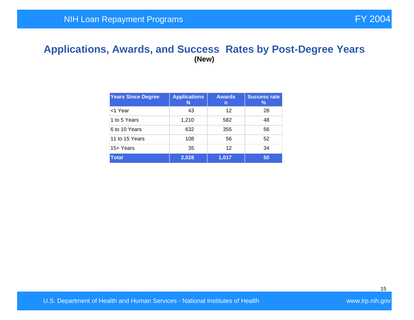#### **Applications, Awards, and Success Rates by Post-Degree Years (New)**

| <b>Years Since Degree</b> | <b>Applications</b><br>N | <b>Awards</b><br>n | <b>Success rate</b><br>$\%$ |
|---------------------------|--------------------------|--------------------|-----------------------------|
| <1 Year                   | 43                       | 12                 | 28                          |
| 1 to 5 Years              | 1,210                    | 582                | 48                          |
| 6 to 10 Years             | 632                      | 355                | 56                          |
| 11 to 15 Years            | 108                      | 56                 | 52                          |
| 15+ Years                 | 35                       | 12                 | 34                          |
| <b>Total</b>              | 2,028                    | 1,017              | 50                          |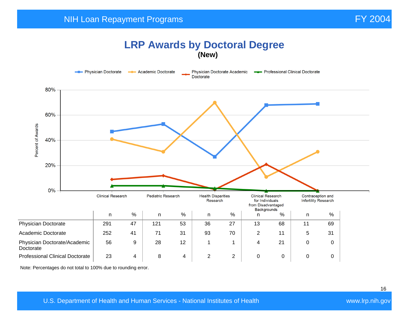#### **LRP Awards by Doctoral Degree (New)**



Note: Percentages do not total to 100% due to rounding error.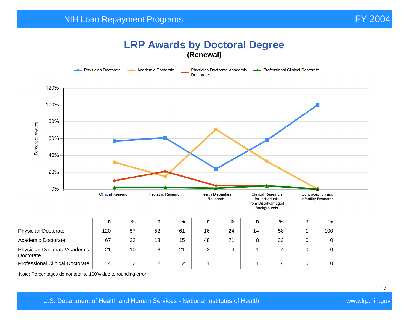## **LRP Awards by Doctoral Degree (Renewal)**



Note: Percentages do not total to 100% due to rounding error.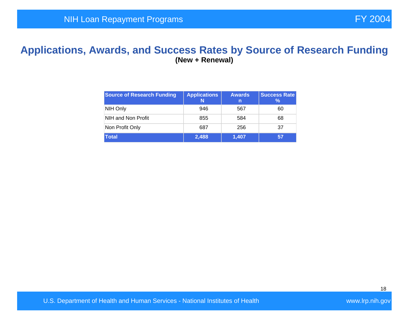#### **Applications, Awards, and Success Rates by Source of Research Funding (New + Renewal)**

| <b>Source of Research Funding</b> | <b>Applications</b> | <b>Awards</b><br>n | <b>Success Rate</b><br>℅ |
|-----------------------------------|---------------------|--------------------|--------------------------|
| NIH Only                          | 946                 | 567                | 60                       |
| NIH and Non Profit                | 855                 | 584                | 68                       |
| Non Profit Only                   | 687                 | 256                | 37                       |
| <b>Total</b>                      | 2,488               | 1,407              | 57                       |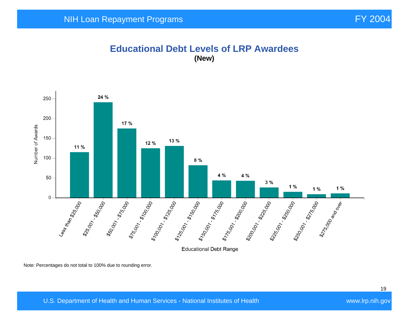#### **Educational Debt Levels of LRP Awardees (New)**



Note: Percentages do not total to 100% due to rounding error.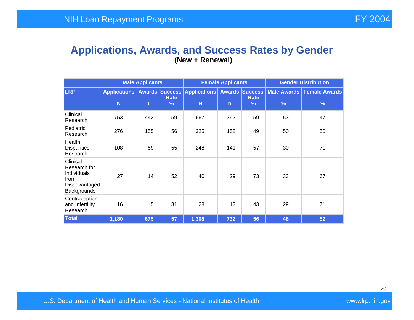#### **Applications, Awards, and Success Rates by Gender (New + Renewal)**

|                                                                                 |                          | <b>Male Applicants</b>                                                                                                                                    |    |               | <b>Gender Distribution</b><br><b>Female Applicants</b> |    |    |    |
|---------------------------------------------------------------------------------|--------------------------|-----------------------------------------------------------------------------------------------------------------------------------------------------------|----|---------------|--------------------------------------------------------|----|----|----|
| <b>LRP</b>                                                                      | <b>Applications</b><br>N | <b>Awards Success Applications</b><br><b>Awards Success</b><br>Rate<br><b>Rate</b><br>N<br>$\frac{9}{6}$<br>$\frac{9}{6}$<br>$\mathsf{n}$<br>$\mathsf{n}$ |    | $\frac{9}{6}$ | Male Awards   Female Awards  <br>$\frac{9}{6}$         |    |    |    |
|                                                                                 |                          |                                                                                                                                                           |    |               |                                                        |    |    |    |
| Clinical<br>Research                                                            | 753                      | 442                                                                                                                                                       | 59 | 667           | 392                                                    | 59 | 53 | 47 |
| Pediatric<br>Research                                                           | 276                      |                                                                                                                                                           | 56 | 325           | 158                                                    | 49 | 50 | 50 |
| Health<br><b>Disparities</b><br>Research                                        | 108                      | 59                                                                                                                                                        | 55 | 248           | 141                                                    | 57 | 30 | 71 |
| Clinical<br>Research for<br>Individuals<br>from<br>Disadvantaged<br>Backgrounds | 27                       | 14                                                                                                                                                        | 52 | 40            |                                                        | 73 | 33 | 67 |
| Contraception<br>and Infertility<br>Research                                    | 16                       | 5                                                                                                                                                         | 31 | 28            | 12                                                     | 43 | 29 | 71 |
| <b>Total</b>                                                                    | 1,180                    | 675                                                                                                                                                       | 57 | 1,308         | 732                                                    | 56 | 48 | 52 |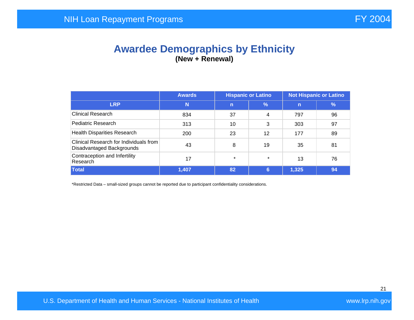## **Awardee Demographics by Ethnicity (New + Renewal)**

|                                                                     | <b>Awards</b> |              | <b>Hispanic or Latino</b><br><b>Not Hispanic or Latino</b> |                |               |  |  |
|---------------------------------------------------------------------|---------------|--------------|------------------------------------------------------------|----------------|---------------|--|--|
| <b>LRP</b>                                                          | N             | $\mathsf{n}$ | $\frac{9}{6}$                                              | $\overline{n}$ | $\frac{9}{6}$ |  |  |
| <b>Clinical Research</b>                                            | 834           | 37           | $\overline{4}$                                             | 797            | 96            |  |  |
| Pediatric Research                                                  | 313           | 10           | 3                                                          | 303            | 97            |  |  |
| <b>Health Disparities Research</b>                                  | 200           | 23           | 12                                                         | 177            | 89            |  |  |
| Clinical Research for Individuals from<br>Disadvantaged Backgrounds | 43            | 8            | 19                                                         | 35             | 81            |  |  |
| Contraception and Infertility<br>Research                           | 17            | $\star$      | $\star$                                                    | 13             | 76            |  |  |
| <b>Total</b>                                                        | 1,407         | 82           | 6                                                          | 1,325          | 94            |  |  |

\*Restricted Data – small-sized groups cannot be reported due to participant confidentiality considerations.

U.S. Department of Health and Human Services - National Institutes of Health Walles and Wawn.Irp.nih.gov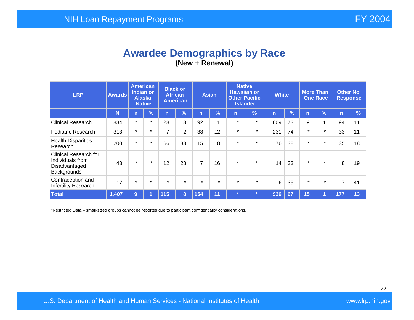## **Awardee Demographics by Race (New + Renewal)**

| <b>LRP</b>                                                                       | <b>Awards</b> | <b>American</b><br><b>Indian or</b><br><b>Alaska</b> | <b>Native</b> | <b>Black or</b><br><b>African</b> | <b>American</b> |         | <b>Asian</b>  | <b>Native</b><br><b>Hawaiian or</b><br><b>Other Pacific</b> | <b>Islander</b> | <b>White</b> |      | <b>More Than</b><br><b>One Race</b> |            | <b>Other No</b><br><b>Response</b> |               |
|----------------------------------------------------------------------------------|---------------|------------------------------------------------------|---------------|-----------------------------------|-----------------|---------|---------------|-------------------------------------------------------------|-----------------|--------------|------|-------------------------------------|------------|------------------------------------|---------------|
|                                                                                  | N             | $\mathsf{n}$                                         | $\frac{9}{6}$ | 'n                                | $\frac{1}{2}$   | n       | $\frac{9}{6}$ | n                                                           | $\frac{9}{6}$   | n            | $\%$ | n                                   | $\sqrt{2}$ | $\mathsf{n}$                       | $\frac{9}{6}$ |
| <b>Clinical Research</b>                                                         | 834           | $\star$                                              | $\star$       | 28                                | 3               | 92      | 11            | $\star$                                                     | $\star$         | 609          | 73   | 9                                   | 4          | 94                                 | 11            |
| <b>Pediatric Research</b>                                                        | 313           | $\star$                                              | $\star$       | $\overline{7}$                    | 2               | 38      | 12            | $\star$                                                     | $\star$         | 231          | 74   | $\star$                             | $\star$    | 33                                 | 11            |
| <b>Health Disparities</b><br>Research                                            | 200           | $\star$                                              | $\ast$        | 66                                | 33              | 15      | 8             | $\star$                                                     | $\star$         | 76           | 38   | $\star$                             | $\star$    | 35                                 | 18            |
| <b>Clinical Research for</b><br>Individuals from<br>Disadvantaged<br>Backgrounds | 43            | $\ast$                                               | $\star$       | 12                                | 28              | 7       | 16            | $\ast$                                                      | $\star$         | 14           | 33   | $\star$                             | $\star$    | 8                                  | 19            |
| Contraception and<br>Infertility Research                                        | 17            | $\ast$                                               | $\star$       | $\star$                           | $\star$         | $\star$ | $\star$       | $\star$                                                     | $\star$         | 6            | 35   | $\star$                             | $\star$    | 7                                  | 41            |
| <b>Total</b>                                                                     | 1,407         | 9                                                    | и             | 115                               | 8               | 154     | 11            | $\star$                                                     |                 | 936          | 67   | 15                                  | И          | 177                                | 13            |

\*Restricted Data – small-sized groups cannot be reported due to participant confidentiality considerations.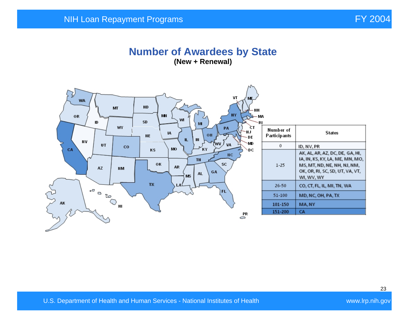#### **Number of Awardees by State (New + Renewal)**